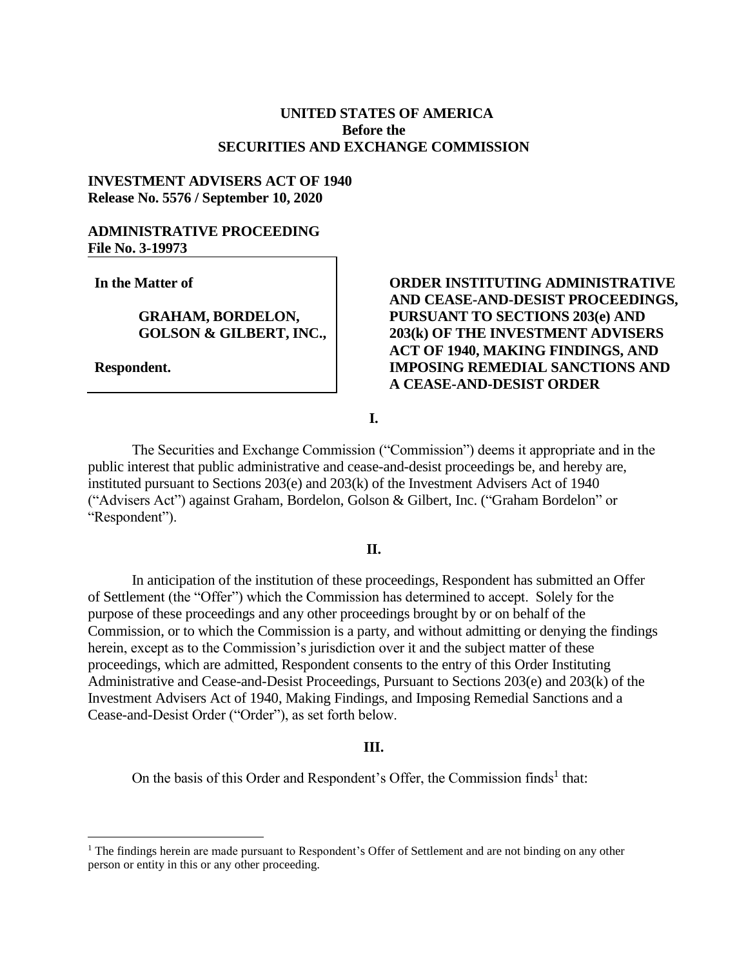# **UNITED STATES OF AMERICA Before the SECURITIES AND EXCHANGE COMMISSION**

### **INVESTMENT ADVISERS ACT OF 1940 Release No. 5576 / September 10, 2020**

# **ADMINISTRATIVE PROCEEDING File No. 3-19973**

**In the Matter of**

**GRAHAM, BORDELON, GOLSON & GILBERT, INC.,**

**Respondent.**

 $\overline{a}$ 

**ORDER INSTITUTING ADMINISTRATIVE AND CEASE-AND-DESIST PROCEEDINGS, PURSUANT TO SECTIONS 203(e) AND 203(k) OF THE INVESTMENT ADVISERS ACT OF 1940, MAKING FINDINGS, AND IMPOSING REMEDIAL SANCTIONS AND A CEASE-AND-DESIST ORDER** 

**I.**

The Securities and Exchange Commission ("Commission") deems it appropriate and in the public interest that public administrative and cease-and-desist proceedings be, and hereby are, instituted pursuant to Sections 203(e) and 203(k) of the Investment Advisers Act of 1940 ("Advisers Act") against Graham, Bordelon, Golson & Gilbert, Inc. ("Graham Bordelon" or "Respondent").

#### **II.**

In anticipation of the institution of these proceedings, Respondent has submitted an Offer of Settlement (the "Offer") which the Commission has determined to accept. Solely for the purpose of these proceedings and any other proceedings brought by or on behalf of the Commission, or to which the Commission is a party, and without admitting or denying the findings herein, except as to the Commission's jurisdiction over it and the subject matter of these proceedings, which are admitted, Respondent consents to the entry of this Order Instituting Administrative and Cease-and-Desist Proceedings, Pursuant to Sections 203(e) and 203(k) of the Investment Advisers Act of 1940, Making Findings, and Imposing Remedial Sanctions and a Cease-and-Desist Order ("Order"), as set forth below.

#### **III.**

On the basis of this Order and Respondent's Offer, the Commission finds<sup>1</sup> that:

<sup>&</sup>lt;sup>1</sup> The findings herein are made pursuant to Respondent's Offer of Settlement and are not binding on any other person or entity in this or any other proceeding.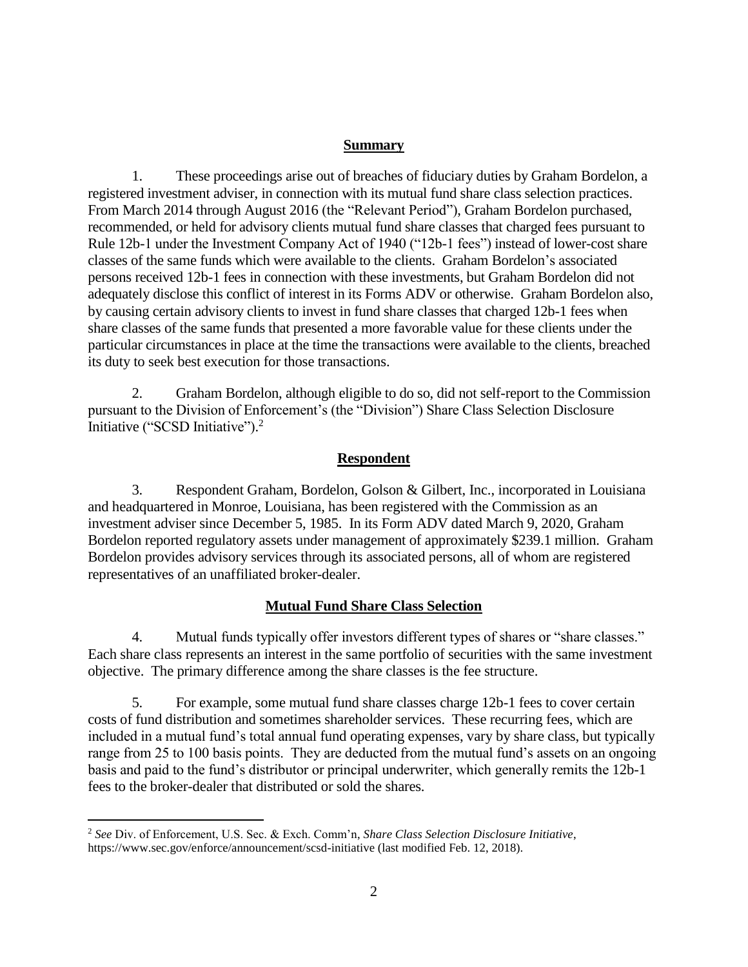### **Summary**

1. These proceedings arise out of breaches of fiduciary duties by Graham Bordelon, a registered investment adviser, in connection with its mutual fund share class selection practices. From March 2014 through August 2016 (the "Relevant Period"), Graham Bordelon purchased, recommended, or held for advisory clients mutual fund share classes that charged fees pursuant to Rule 12b-1 under the Investment Company Act of 1940 ("12b-1 fees") instead of lower-cost share classes of the same funds which were available to the clients. Graham Bordelon's associated persons received 12b-1 fees in connection with these investments, but Graham Bordelon did not adequately disclose this conflict of interest in its Forms ADV or otherwise. Graham Bordelon also, by causing certain advisory clients to invest in fund share classes that charged 12b-1 fees when share classes of the same funds that presented a more favorable value for these clients under the particular circumstances in place at the time the transactions were available to the clients, breached its duty to seek best execution for those transactions.

2. Graham Bordelon, although eligible to do so, did not self-report to the Commission pursuant to the Division of Enforcement's (the "Division") Share Class Selection Disclosure Initiative ("SCSD Initiative").<sup>2</sup>

# **Respondent**

3. Respondent Graham, Bordelon, Golson & Gilbert, Inc., incorporated in Louisiana and headquartered in Monroe, Louisiana, has been registered with the Commission as an investment adviser since December 5, 1985. In its Form ADV dated March 9, 2020, Graham Bordelon reported regulatory assets under management of approximately \$239.1 million. Graham Bordelon provides advisory services through its associated persons, all of whom are registered representatives of an unaffiliated broker-dealer.

# **Mutual Fund Share Class Selection**

4. Mutual funds typically offer investors different types of shares or "share classes." Each share class represents an interest in the same portfolio of securities with the same investment objective. The primary difference among the share classes is the fee structure.

5. For example, some mutual fund share classes charge 12b-1 fees to cover certain costs of fund distribution and sometimes shareholder services. These recurring fees, which are included in a mutual fund's total annual fund operating expenses, vary by share class, but typically range from 25 to 100 basis points. They are deducted from the mutual fund's assets on an ongoing basis and paid to the fund's distributor or principal underwriter, which generally remits the 12b-1 fees to the broker-dealer that distributed or sold the shares.

 $\overline{a}$ 

<sup>2</sup> *See* Div. of Enforcement, U.S. Sec. & Exch. Comm'n, *Share Class Selection Disclosure Initiative*, https://www.sec.gov/enforce/announcement/scsd-initiative (last modified Feb. 12, 2018).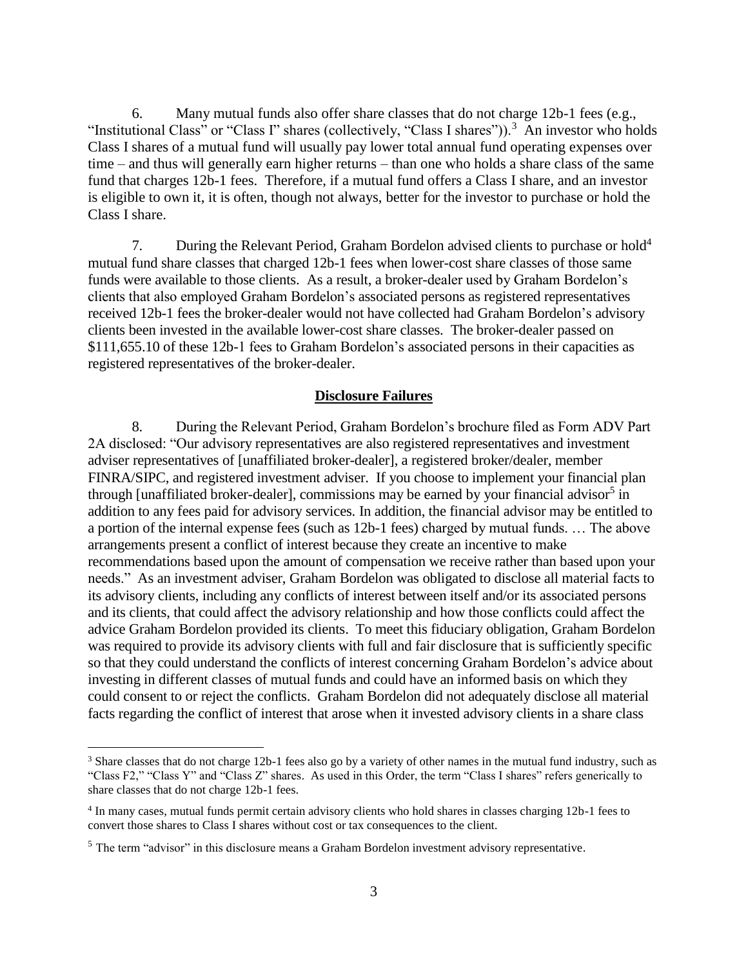6. Many mutual funds also offer share classes that do not charge 12b-1 fees (e.g., "Institutional Class" or "Class I" shares (collectively, "Class I shares")).<sup>3</sup> An investor who holds Class I shares of a mutual fund will usually pay lower total annual fund operating expenses over time – and thus will generally earn higher returns – than one who holds a share class of the same fund that charges 12b-1 fees. Therefore, if a mutual fund offers a Class I share, and an investor is eligible to own it, it is often, though not always, better for the investor to purchase or hold the Class I share.

7. During the Relevant Period, Graham Bordelon advised clients to purchase or hold<sup>4</sup> mutual fund share classes that charged 12b-1 fees when lower-cost share classes of those same funds were available to those clients. As a result, a broker-dealer used by Graham Bordelon's clients that also employed Graham Bordelon's associated persons as registered representatives received 12b-1 fees the broker-dealer would not have collected had Graham Bordelon's advisory clients been invested in the available lower-cost share classes. The broker-dealer passed on \$111,655.10 of these 12b-1 fees to Graham Bordelon's associated persons in their capacities as registered representatives of the broker-dealer.

#### **Disclosure Failures**

8. During the Relevant Period, Graham Bordelon's brochure filed as Form ADV Part 2A disclosed: "Our advisory representatives are also registered representatives and investment adviser representatives of [unaffiliated broker-dealer], a registered broker/dealer, member FINRA/SIPC, and registered investment adviser. If you choose to implement your financial plan through [unaffiliated broker-dealer], commissions may be earned by your financial advisor<sup>5</sup> in addition to any fees paid for advisory services. In addition, the financial advisor may be entitled to a portion of the internal expense fees (such as 12b-1 fees) charged by mutual funds. … The above arrangements present a conflict of interest because they create an incentive to make recommendations based upon the amount of compensation we receive rather than based upon your needs." As an investment adviser, Graham Bordelon was obligated to disclose all material facts to its advisory clients, including any conflicts of interest between itself and/or its associated persons and its clients, that could affect the advisory relationship and how those conflicts could affect the advice Graham Bordelon provided its clients. To meet this fiduciary obligation, Graham Bordelon was required to provide its advisory clients with full and fair disclosure that is sufficiently specific so that they could understand the conflicts of interest concerning Graham Bordelon's advice about investing in different classes of mutual funds and could have an informed basis on which they could consent to or reject the conflicts. Graham Bordelon did not adequately disclose all material facts regarding the conflict of interest that arose when it invested advisory clients in a share class

 $\overline{a}$ 

<sup>&</sup>lt;sup>3</sup> Share classes that do not charge 12b-1 fees also go by a variety of other names in the mutual fund industry, such as "Class F2," "Class Y" and "Class Z" shares. As used in this Order, the term "Class I shares" refers generically to share classes that do not charge 12b-1 fees.

<sup>4</sup> In many cases, mutual funds permit certain advisory clients who hold shares in classes charging 12b-1 fees to convert those shares to Class I shares without cost or tax consequences to the client.

<sup>&</sup>lt;sup>5</sup> The term "advisor" in this disclosure means a Graham Bordelon investment advisory representative.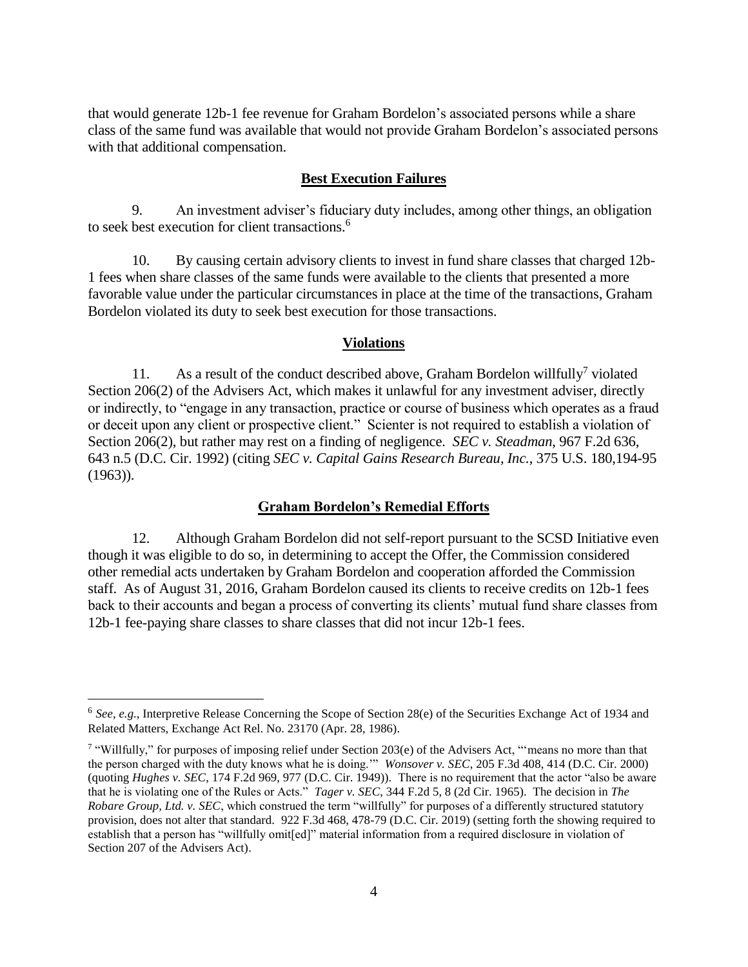that would generate 12b-1 fee revenue for Graham Bordelon's associated persons while a share class of the same fund was available that would not provide Graham Bordelon's associated persons with that additional compensation.

#### **Best Execution Failures**

9. An investment adviser's fiduciary duty includes, among other things, an obligation to seek best execution for client transactions.<sup>6</sup>

10. By causing certain advisory clients to invest in fund share classes that charged 12b-1 fees when share classes of the same funds were available to the clients that presented a more favorable value under the particular circumstances in place at the time of the transactions, Graham Bordelon violated its duty to seek best execution for those transactions.

#### **Violations**

11. As a result of the conduct described above, Graham Bordelon willfully<sup>7</sup> violated Section 206(2) of the Advisers Act, which makes it unlawful for any investment adviser, directly or indirectly, to "engage in any transaction, practice or course of business which operates as a fraud or deceit upon any client or prospective client." Scienter is not required to establish a violation of Section 206(2), but rather may rest on a finding of negligence. *SEC v. Steadman*, 967 F.2d 636, 643 n.5 (D.C. Cir. 1992) (citing *SEC v. Capital Gains Research Bureau, Inc.*, 375 U.S. 180,194-95 (1963)).

### **Graham Bordelon's Remedial Efforts**

12. Although Graham Bordelon did not self-report pursuant to the SCSD Initiative even though it was eligible to do so, in determining to accept the Offer, the Commission considered other remedial acts undertaken by Graham Bordelon and cooperation afforded the Commission staff. As of August 31, 2016, Graham Bordelon caused its clients to receive credits on 12b-1 fees back to their accounts and began a process of converting its clients' mutual fund share classes from 12b-1 fee-paying share classes to share classes that did not incur 12b-1 fees.

 $\overline{a}$ 

<sup>&</sup>lt;sup>6</sup> See, e.g., Interpretive Release Concerning the Scope of Section 28(e) of the Securities Exchange Act of 1934 and Related Matters, Exchange Act Rel. No. 23170 (Apr. 28, 1986).

<sup>7</sup> "Willfully," for purposes of imposing relief under Section 203(e) of the Advisers Act, "'means no more than that the person charged with the duty knows what he is doing.'" *Wonsover v. SEC*, 205 F.3d 408, 414 (D.C. Cir. 2000) (quoting *Hughes v. SEC*, 174 F.2d 969, 977 (D.C. Cir. 1949)). There is no requirement that the actor "also be aware that he is violating one of the Rules or Acts." *Tager v. SEC*, 344 F.2d 5, 8 (2d Cir. 1965). The decision in *The Robare Group, Ltd. v. SEC*, which construed the term "willfully" for purposes of a differently structured statutory provision, does not alter that standard. 922 F.3d 468, 478-79 (D.C. Cir. 2019) (setting forth the showing required to establish that a person has "willfully omit[ed]" material information from a required disclosure in violation of Section 207 of the Advisers Act).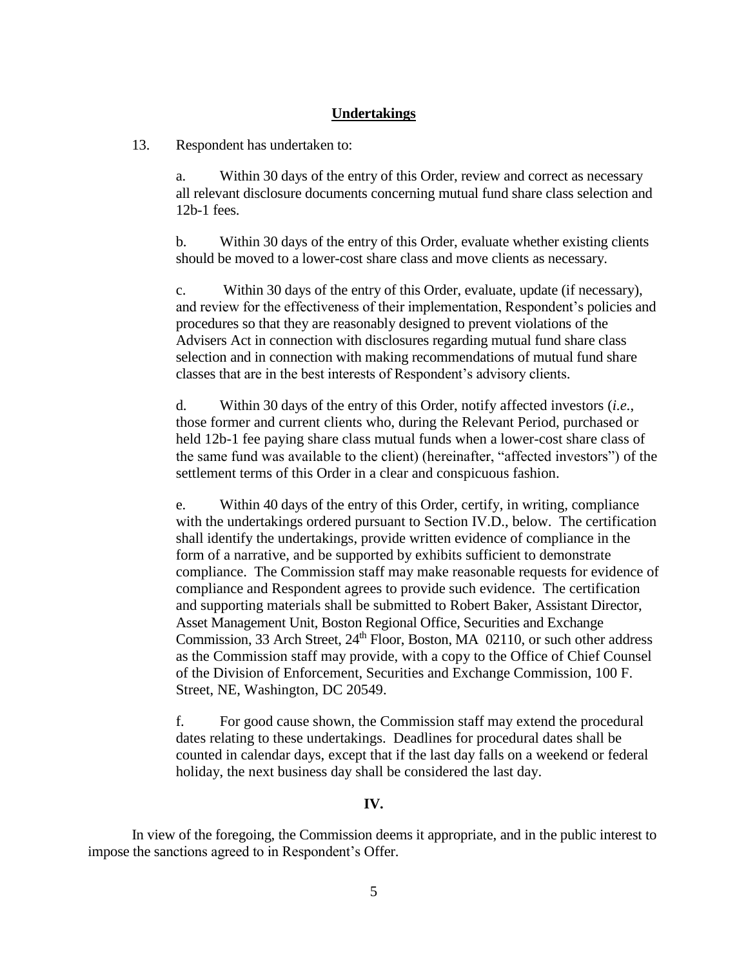# **Undertakings**

13. Respondent has undertaken to:

a. Within 30 days of the entry of this Order, review and correct as necessary all relevant disclosure documents concerning mutual fund share class selection and 12b-1 fees.

b. Within 30 days of the entry of this Order, evaluate whether existing clients should be moved to a lower-cost share class and move clients as necessary.

c. Within 30 days of the entry of this Order, evaluate, update (if necessary), and review for the effectiveness of their implementation, Respondent's policies and procedures so that they are reasonably designed to prevent violations of the Advisers Act in connection with disclosures regarding mutual fund share class selection and in connection with making recommendations of mutual fund share classes that are in the best interests of Respondent's advisory clients.

d. Within 30 days of the entry of this Order, notify affected investors (*i.e.*, those former and current clients who, during the Relevant Period, purchased or held 12b-1 fee paying share class mutual funds when a lower-cost share class of the same fund was available to the client) (hereinafter, "affected investors") of the settlement terms of this Order in a clear and conspicuous fashion.

e. Within 40 days of the entry of this Order, certify, in writing, compliance with the undertakings ordered pursuant to Section IV.D., below. The certification shall identify the undertakings, provide written evidence of compliance in the form of a narrative, and be supported by exhibits sufficient to demonstrate compliance. The Commission staff may make reasonable requests for evidence of compliance and Respondent agrees to provide such evidence. The certification and supporting materials shall be submitted to Robert Baker, Assistant Director, Asset Management Unit, Boston Regional Office, Securities and Exchange Commission, 33 Arch Street,  $24<sup>th</sup>$  Floor, Boston, MA 02110, or such other address as the Commission staff may provide, with a copy to the Office of Chief Counsel of the Division of Enforcement, Securities and Exchange Commission, 100 F. Street, NE, Washington, DC 20549.

f. For good cause shown, the Commission staff may extend the procedural dates relating to these undertakings. Deadlines for procedural dates shall be counted in calendar days, except that if the last day falls on a weekend or federal holiday, the next business day shall be considered the last day.

### **IV.**

In view of the foregoing, the Commission deems it appropriate, and in the public interest to impose the sanctions agreed to in Respondent's Offer.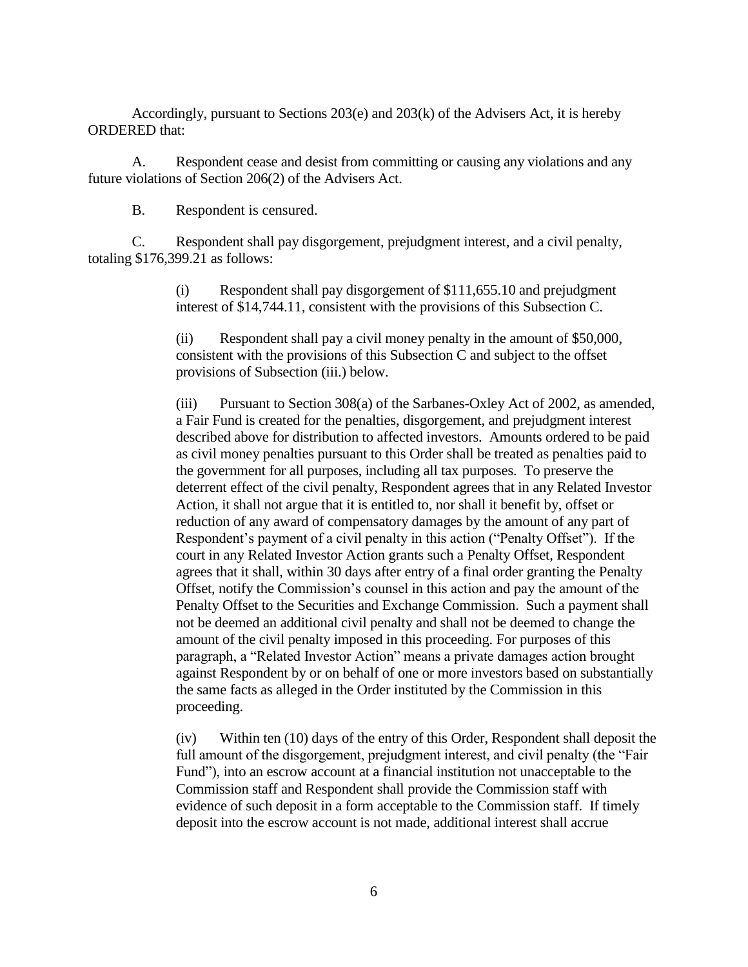Accordingly, pursuant to Sections 203(e) and 203(k) of the Advisers Act, it is hereby ORDERED that:

A. Respondent cease and desist from committing or causing any violations and any future violations of Section 206(2) of the Advisers Act.

B. Respondent is censured.

C. Respondent shall pay disgorgement, prejudgment interest, and a civil penalty, totaling \$176,399.21 as follows:

> (i) Respondent shall pay disgorgement of \$111,655.10 and prejudgment interest of \$14,744.11, consistent with the provisions of this Subsection C.

(ii) Respondent shall pay a civil money penalty in the amount of \$50,000, consistent with the provisions of this Subsection C and subject to the offset provisions of Subsection (iii.) below.

(iii) Pursuant to Section 308(a) of the Sarbanes-Oxley Act of 2002, as amended, a Fair Fund is created for the penalties, disgorgement, and prejudgment interest described above for distribution to affected investors. Amounts ordered to be paid as civil money penalties pursuant to this Order shall be treated as penalties paid to the government for all purposes, including all tax purposes. To preserve the deterrent effect of the civil penalty, Respondent agrees that in any Related Investor Action, it shall not argue that it is entitled to, nor shall it benefit by, offset or reduction of any award of compensatory damages by the amount of any part of Respondent's payment of a civil penalty in this action ("Penalty Offset"). If the court in any Related Investor Action grants such a Penalty Offset, Respondent agrees that it shall, within 30 days after entry of a final order granting the Penalty Offset, notify the Commission's counsel in this action and pay the amount of the Penalty Offset to the Securities and Exchange Commission. Such a payment shall not be deemed an additional civil penalty and shall not be deemed to change the amount of the civil penalty imposed in this proceeding. For purposes of this paragraph, a "Related Investor Action" means a private damages action brought against Respondent by or on behalf of one or more investors based on substantially the same facts as alleged in the Order instituted by the Commission in this proceeding.

(iv) Within ten (10) days of the entry of this Order, Respondent shall deposit the full amount of the disgorgement, prejudgment interest, and civil penalty (the "Fair Fund"), into an escrow account at a financial institution not unacceptable to the Commission staff and Respondent shall provide the Commission staff with evidence of such deposit in a form acceptable to the Commission staff. If timely deposit into the escrow account is not made, additional interest shall accrue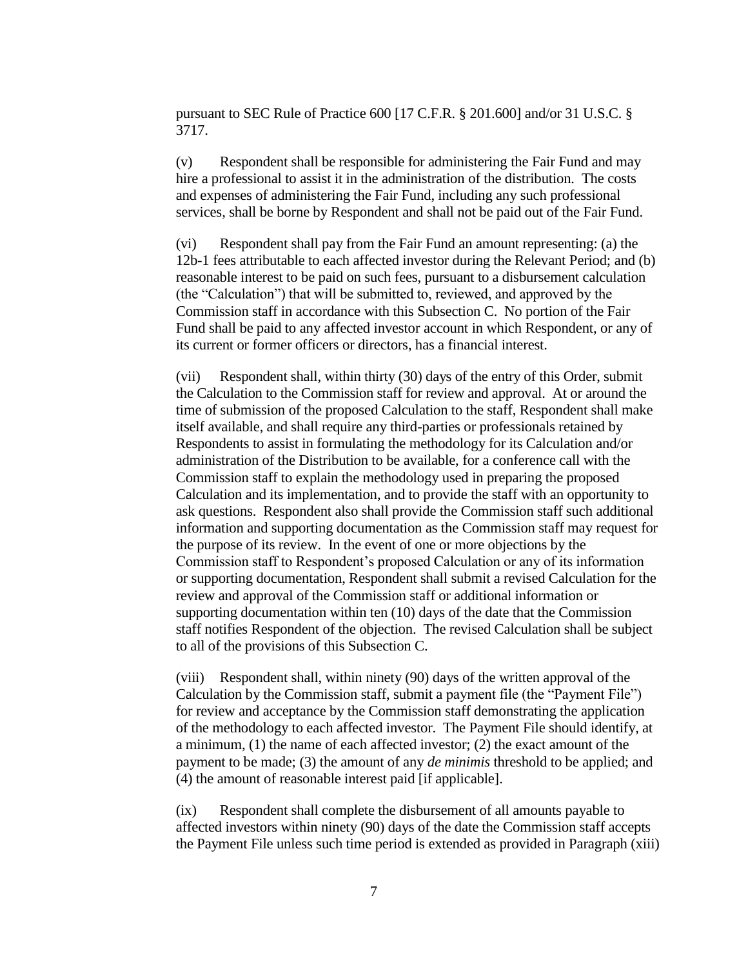pursuant to SEC Rule of Practice 600 [17 C.F.R. § 201.600] and/or 31 U.S.C. § 3717.

(v) Respondent shall be responsible for administering the Fair Fund and may hire a professional to assist it in the administration of the distribution. The costs and expenses of administering the Fair Fund, including any such professional services, shall be borne by Respondent and shall not be paid out of the Fair Fund.

(vi) Respondent shall pay from the Fair Fund an amount representing: (a) the 12b-1 fees attributable to each affected investor during the Relevant Period; and (b) reasonable interest to be paid on such fees, pursuant to a disbursement calculation (the "Calculation") that will be submitted to, reviewed, and approved by the Commission staff in accordance with this Subsection C. No portion of the Fair Fund shall be paid to any affected investor account in which Respondent, or any of its current or former officers or directors, has a financial interest.

(vii) Respondent shall, within thirty (30) days of the entry of this Order, submit the Calculation to the Commission staff for review and approval. At or around the time of submission of the proposed Calculation to the staff, Respondent shall make itself available, and shall require any third-parties or professionals retained by Respondents to assist in formulating the methodology for its Calculation and/or administration of the Distribution to be available, for a conference call with the Commission staff to explain the methodology used in preparing the proposed Calculation and its implementation, and to provide the staff with an opportunity to ask questions. Respondent also shall provide the Commission staff such additional information and supporting documentation as the Commission staff may request for the purpose of its review. In the event of one or more objections by the Commission staff to Respondent's proposed Calculation or any of its information or supporting documentation, Respondent shall submit a revised Calculation for the review and approval of the Commission staff or additional information or supporting documentation within ten (10) days of the date that the Commission staff notifies Respondent of the objection. The revised Calculation shall be subject to all of the provisions of this Subsection C.

(viii) Respondent shall, within ninety (90) days of the written approval of the Calculation by the Commission staff, submit a payment file (the "Payment File") for review and acceptance by the Commission staff demonstrating the application of the methodology to each affected investor. The Payment File should identify, at a minimum, (1) the name of each affected investor; (2) the exact amount of the payment to be made; (3) the amount of any *de minimis* threshold to be applied; and (4) the amount of reasonable interest paid [if applicable].

(ix) Respondent shall complete the disbursement of all amounts payable to affected investors within ninety (90) days of the date the Commission staff accepts the Payment File unless such time period is extended as provided in Paragraph (xiii)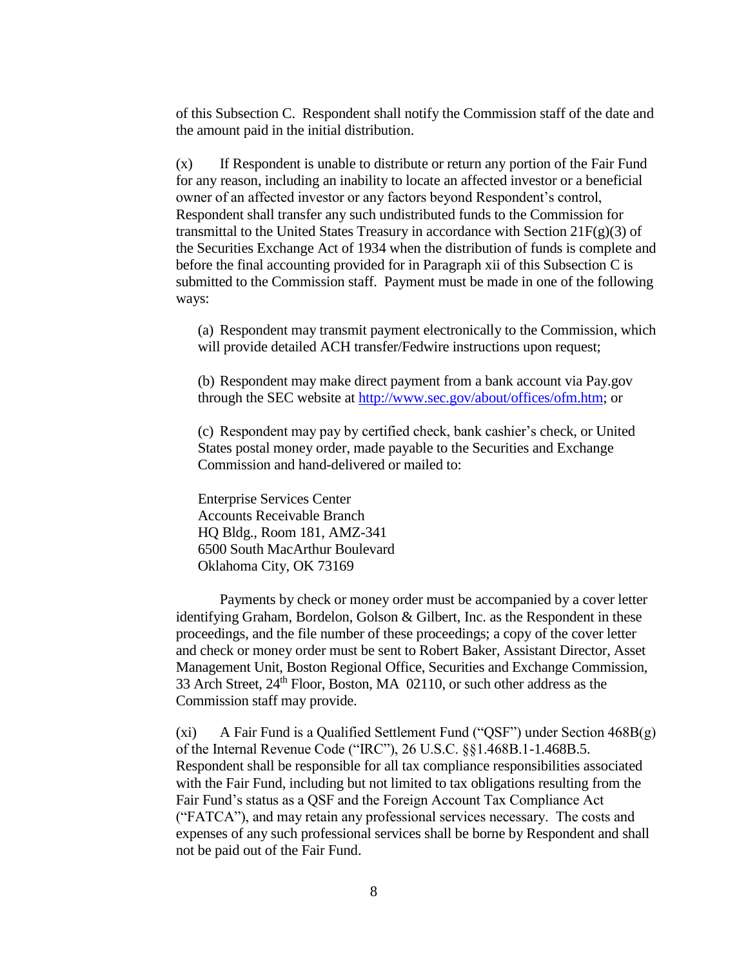of this Subsection C. Respondent shall notify the Commission staff of the date and the amount paid in the initial distribution.

(x) If Respondent is unable to distribute or return any portion of the Fair Fund for any reason, including an inability to locate an affected investor or a beneficial owner of an affected investor or any factors beyond Respondent's control, Respondent shall transfer any such undistributed funds to the Commission for transmittal to the United States Treasury in accordance with Section  $21F(g)(3)$  of the Securities Exchange Act of 1934 when the distribution of funds is complete and before the final accounting provided for in Paragraph xii of this Subsection C is submitted to the Commission staff. Payment must be made in one of the following ways:

(a) Respondent may transmit payment electronically to the Commission, which will provide detailed ACH transfer/Fedwire instructions upon request;

(b) Respondent may make direct payment from a bank account via Pay.gov through the SEC website at [http://www.sec.gov/about/offices/ofm.htm;](http://www.sec.gov/about/offices/ofm.htm) or

(c) Respondent may pay by certified check, bank cashier's check, or United States postal money order, made payable to the Securities and Exchange Commission and hand-delivered or mailed to:

Enterprise Services Center Accounts Receivable Branch HQ Bldg., Room 181, AMZ-341 6500 South MacArthur Boulevard Oklahoma City, OK 73169

Payments by check or money order must be accompanied by a cover letter identifying Graham, Bordelon, Golson & Gilbert, Inc. as the Respondent in these proceedings, and the file number of these proceedings; a copy of the cover letter and check or money order must be sent to Robert Baker, Assistant Director, Asset Management Unit, Boston Regional Office, Securities and Exchange Commission, 33 Arch Street,  $24<sup>th</sup>$  Floor, Boston, MA 02110, or such other address as the Commission staff may provide.

(xi) A Fair Fund is a Qualified Settlement Fund ("QSF") under Section 468B(g) of the Internal Revenue Code ("IRC"), 26 U.S.C. §§1.468B.1-1.468B.5. Respondent shall be responsible for all tax compliance responsibilities associated with the Fair Fund, including but not limited to tax obligations resulting from the Fair Fund's status as a QSF and the Foreign Account Tax Compliance Act ("FATCA"), and may retain any professional services necessary. The costs and expenses of any such professional services shall be borne by Respondent and shall not be paid out of the Fair Fund.